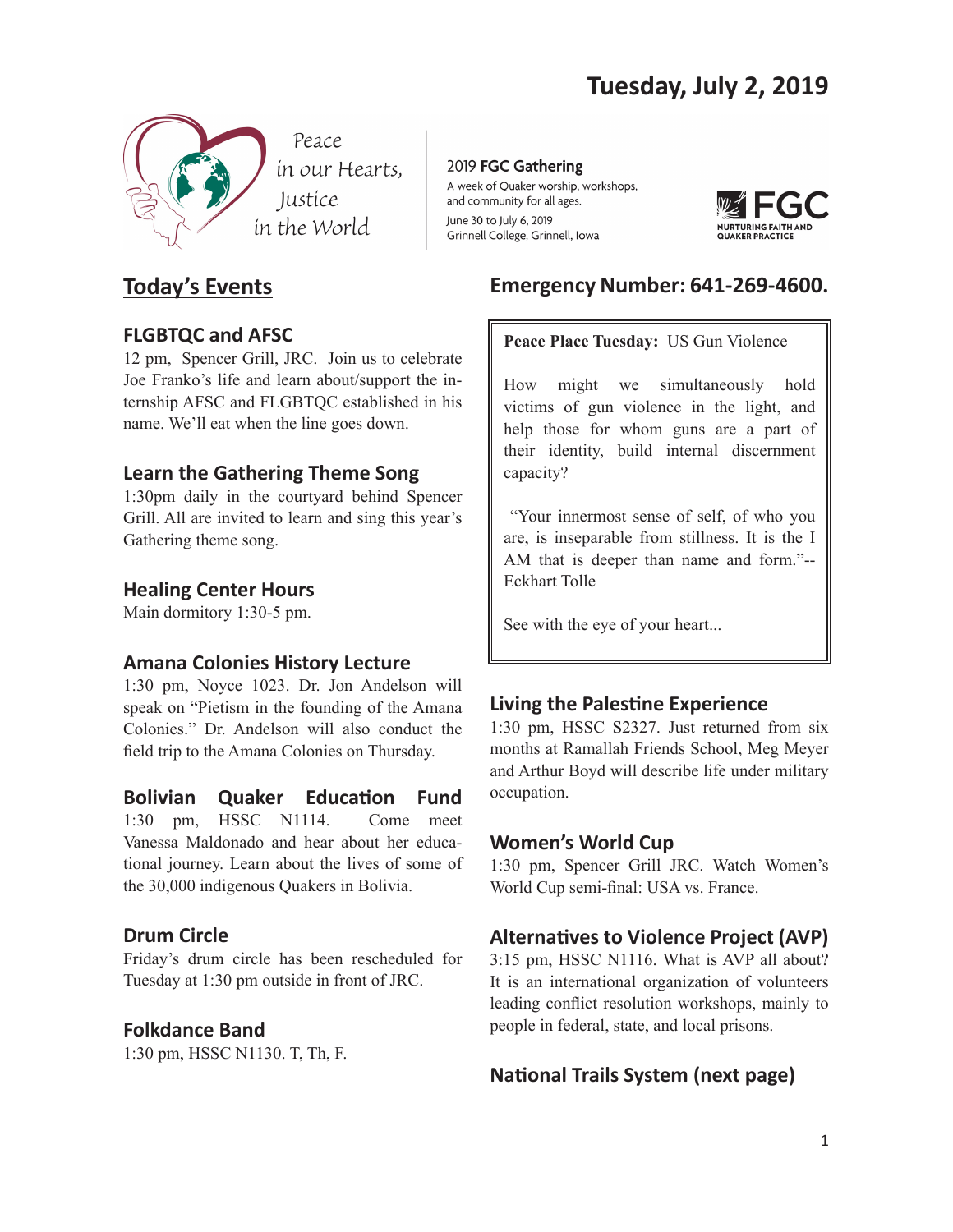

# **Today's Events**

## **FLGBTQC and AFSC**

12 pm, Spencer Grill, JRC. Join us to celebrate Joe Franko's life and learn about/support the internship AFSC and FLGBTQC established in his name. We'll eat when the line goes down.

# **Learn the Gathering Theme Song**

1:30pm daily in the courtyard behind Spencer Grill. All are invited to learn and sing this year's Gathering theme song.

## **Healing Center Hours**

Main dormitory 1:30-5 pm.

## **Amana Colonies History Lecture**

1:30 pm, Noyce 1023. Dr. Jon Andelson will speak on "Pietism in the founding of the Amana Colonies." Dr. Andelson will also conduct the feld trip to the Amana Colonies on Thursday.

**Bolivian Quaker Educaton Fund** 1:30 pm, HSSC N1114. Come meet Vanessa Maldonado and hear about her educational journey. Learn about the lives of some of the 30,000 indigenous Quakers in Bolivia.

# **Drum Circle**

Friday's drum circle has been rescheduled for Tuesday at 1:30 pm outside in front of JRC.

# **Folkdance Band**

1:30 pm, HSSC N1130. T, Th, F.

2019 FGC Gathering A week of Quaker worship, workshops, and community for all ages. June 30 to July 6, 2019 Grinnell College, Grinnell, Iowa



# **Emergency Number: 641-269-4600.**

## **Peace Place Tuesday:** US Gun Violence

How might we simultaneously hold victims of gun violence in the light, and help those for whom guns are a part of their identity, build internal discernment capacity?

 "Your innermost sense of self, of who you are, is inseparable from stillness. It is the I AM that is deeper than name and form."-- Eckhart Tolle

See with the eye of your heart...

# **Living the Palestine Experience**

1:30 pm, HSSC S2327. Just returned from six months at Ramallah Friends School, Meg Meyer and Arthur Boyd will describe life under military occupation.

## **Women's World Cup**

1:30 pm, Spencer Grill JRC. Watch Women's World Cup semi-fnal: USA vs. France.

# **Alternatves to Violence Project (AVP)**

3:15 pm, HSSC N1116. What is AVP all about? It is an international organization of volunteers leading confict resolution workshops, mainly to people in federal, state, and local prisons.

# **National Trails System (next page)**